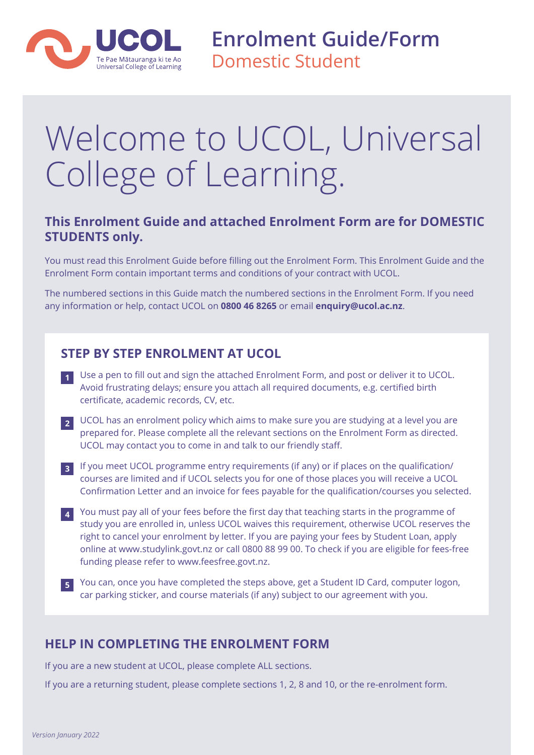

**Enrolment Guide/Form** Domestic Student

# Welcome to UCOL, Universal College of Learning.

# **This Enrolment Guide and attached Enrolment Form are for DOMESTIC STUDENTS only.**

You must read this Enrolment Guide before filling out the Enrolment Form. This Enrolment Guide and the Enrolment Form contain important terms and conditions of your contract with UCOL.

The numbered sections in this Guide match the numbered sections in the Enrolment Form. If you need any information or help, contact UCOL on **0800 46 8265** or email **enquiry@ucol.ac.nz**.

# **STEP BY STEP ENROLMENT AT UCOL**

- **1** Use a pen to fill out and sign the attached Enrolment Form, and post or deliver it to UCOL. Avoid frustrating delays; ensure you attach all required documents, e.g. certified birth certificate, academic records, CV, etc.
- **2** UCOL has an enrolment policy which aims to make sure you are studying at a level you are prepared for. Please complete all the relevant sections on the Enrolment Form as directed. UCOL may contact you to come in and talk to our friendly staff.
- **3** If you meet UCOL programme entry requirements (if any) or if places on the qualification/ courses are limited and if UCOL selects you for one of those places you will receive a UCOL Confirmation Letter and an invoice for fees payable for the qualification/courses you selected.
- **4** You must pay all of your fees before the first day that teaching starts in the programme of study you are enrolled in, unless UCOL waives this requirement, otherwise UCOL reserves the right to cancel your enrolment by letter. If you are paying your fees by Student Loan, apply online at www.studylink.govt.nz or call 0800 88 99 00. To check if you are eligible for fees-free funding please refer to www.feesfree.govt.nz.
- **5** You can, once you have completed the steps above, get a Student ID Card, computer logon, car parking sticker, and course materials (if any) subject to our agreement with you.

# **HELP IN COMPLETING THE ENROLMENT FORM**

If you are a new student at UCOL, please complete ALL sections.

If you are a returning student, please complete sections 1, 2, 8 and 10, or the re-enrolment form.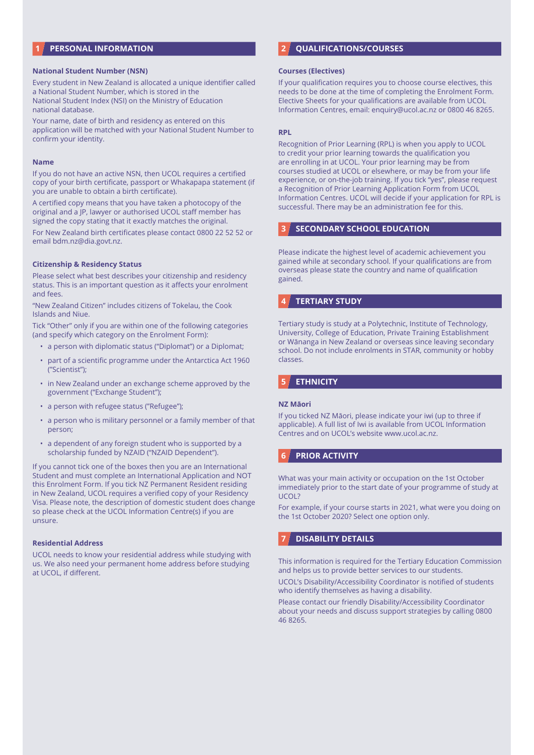# **1 PERSONAL INFORMATION**

#### **National Student Number (NSN)**

Every student in New Zealand is allocated a unique identifier called a National Student Number, which is stored in the National Student Index (NSI) on the Ministry of Education national database.

Your name, date of birth and residency as entered on this application will be matched with your National Student Number to confirm your identity.

#### **Name**

If you do not have an active NSN, then UCOL requires a certified copy of your birth certificate, passport or Whakapapa statement (if you are unable to obtain a birth certificate).

A certified copy means that you have taken a photocopy of the original and a JP, lawyer or authorised UCOL staff member has signed the copy stating that it exactly matches the original.

For New Zealand birth certificates please contact 0800 22 52 52 or email bdm.nz@dia.govt.nz.

#### **Citizenship & Residency Status**

Please select what best describes your citizenship and residency status. This is an important question as it affects your enrolment and fees.

"New Zealand Citizen" includes citizens of Tokelau, the Cook Islands and Niue.

Tick "Other" only if you are within one of the following categories (and specify which category on the Enrolment Form):

- a person with diplomatic status ("Diplomat") or a Diplomat;
- part of a scientific programme under the Antarctica Act 1960 ("Scientist");
- in New Zealand under an exchange scheme approved by the government ("Exchange Student");
- a person with refugee status ("Refugee");
- a person who is military personnel or a family member of that person;
- a dependent of any foreign student who is supported by a scholarship funded by NZAID ("NZAID Dependent").

If you cannot tick one of the boxes then you are an International Student and must complete an International Application and NOT this Enrolment Form. If you tick NZ Permanent Resident residing in New Zealand, UCOL requires a verified copy of your Residency Visa. Please note, the description of domestic student does change so please check at the UCOL Information Centre(s) if you are unsure.

#### **Residential Address**

UCOL needs to know your residential address while studying with us. We also need your permanent home address before studying at UCOL, if different.

# **2 QUALIFICATIONS/COURSES**

#### **Courses (Electives)**

If your qualification requires you to choose course electives, this needs to be done at the time of completing the Enrolment Form. Elective Sheets for your qualifications are available from UCOL Information Centres, email: enquiry@ucol.ac.nz or 0800 46 8265.

#### **RPL**

Recognition of Prior Learning (RPL) is when you apply to UCOL to credit your prior learning towards the qualification you are enrolling in at UCOL. Your prior learning may be from courses studied at UCOL or elsewhere, or may be from your life experience, or on-the-job training. If you tick "yes", please request a Recognition of Prior Learning Application Form from UCOL Information Centres. UCOL will decide if your application for RPL is successful. There may be an administration fee for this.

## **3 SECONDARY SCHOOL EDUCATION**

Please indicate the highest level of academic achievement you gained while at secondary school. If your qualifications are from overseas please state the country and name of qualification gained.

## **4 TERTIARY STUDY**

Tertiary study is study at a Polytechnic, Institute of Technology, University, College of Education, Private Training Establishment or Wānanga in New Zealand or overseas since leaving secondary school. Do not include enrolments in STAR, community or hobby classes.

# **5 ETHNICITY**

#### **NZ Māori**

If you ticked NZ Māori, please indicate your iwi (up to three if applicable). A full list of Iwi is available from UCOL Information Centres and on UCOL's website www.ucol.ac.nz.

# **6 PRIOR ACTIVITY**

What was your main activity or occupation on the 1st October immediately prior to the start date of your programme of study at UCOL?

For example, if your course starts in 2021, what were you doing on the 1st October 2020? Select one option only.

## **7 DISABILITY DETAILS**

This information is required for the Tertiary Education Commission and helps us to provide better services to our students.

UCOL's Disability/Accessibility Coordinator is notified of students who identify themselves as having a disability.

Please contact our friendly Disability/Accessibility Coordinator about your needs and discuss support strategies by calling 0800 46 8265.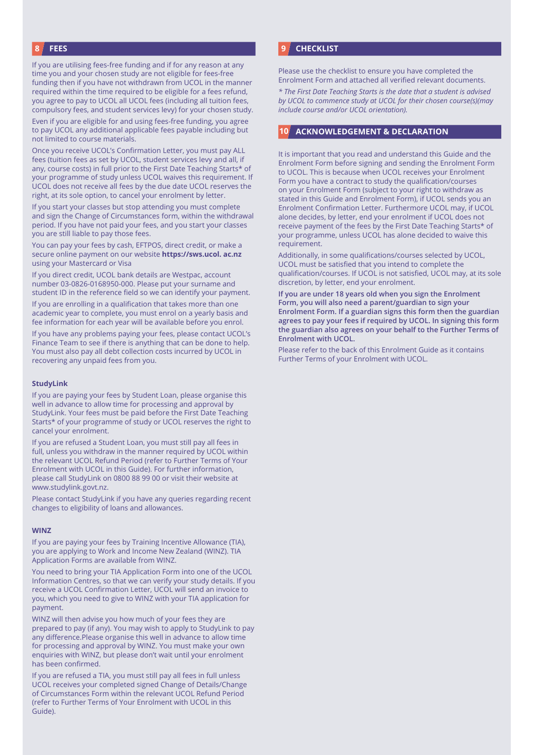# **8 FEES**

If you are utilising fees-free funding and if for any reason at any time you and your chosen study are not eligible for fees-free funding then if you have not withdrawn from UCOL in the manner required within the time required to be eligible for a fees refund, you agree to pay to UCOL all UCOL fees (including all tuition fees, compulsory fees, and student services levy) for your chosen study.

Even if you are eligible for and using fees-free funding, you agree to pay UCOL any additional applicable fees payable including but not limited to course materials.

Once you receive UCOL's Confirmation Letter, you must pay ALL fees (tuition fees as set by UCOL, student services levy and all, if any, course costs) in full prior to the First Date Teaching Starts\* of your programme of study unless UCOL waives this requirement. If UCOL does not receive all fees by the due date UCOL reserves the right, at its sole option, to cancel your enrolment by letter.

If you start your classes but stop attending you must complete and sign the Change of Circumstances form, within the withdrawal period. If you have not paid your fees, and you start your classes you are still liable to pay those fees.

You can pay your fees by cash, EFTPOS, direct credit, or make a secure online payment on our website **https://sws.ucol. ac.nz** using your Mastercard or Visa

If you direct credit, UCOL bank details are Westpac, account number 03-0826-0168950-000. Please put your surname and student ID in the reference field so we can identify your payment.

If you are enrolling in a qualification that takes more than one academic year to complete, you must enrol on a yearly basis and fee information for each year will be available before you enrol.

If you have any problems paying your fees, please contact UCOL's Finance Team to see if there is anything that can be done to help. You must also pay all debt collection costs incurred by UCOL in recovering any unpaid fees from you.

#### **StudyLink**

If you are paying your fees by Student Loan, please organise this well in advance to allow time for processing and approval by StudyLink. Your fees must be paid before the First Date Teaching Starts\* of your programme of study or UCOL reserves the right to cancel your enrolment.

If you are refused a Student Loan, you must still pay all fees in full, unless you withdraw in the manner required by UCOL within the relevant UCOL Refund Period (refer to Further Terms of Your Enrolment with UCOL in this Guide). For further information, please call StudyLink on 0800 88 99 00 or visit their website at www.studylink.govt.nz.

Please contact StudyLink if you have any queries regarding recent changes to eligibility of loans and allowances.

#### **WINZ**

If you are paying your fees by Training Incentive Allowance (TIA), you are applying to Work and Income New Zealand (WINZ). TIA Application Forms are available from WINZ.

You need to bring your TIA Application Form into one of the UCOL Information Centres, so that we can verify your study details. If you receive a UCOL Confirmation Letter, UCOL will send an invoice to you, which you need to give to WINZ with your TIA application for payment.

WINZ will then advise you how much of your fees they are prepared to pay (if any). You may wish to apply to StudyLink to pay any difference.Please organise this well in advance to allow time for processing and approval by WINZ. You must make your own enquiries with WINZ, but please don't wait until your enrolment has been confirmed.

If you are refused a TIA, you must still pay all fees in full unless UCOL receives your completed signed Change of Details/Change of Circumstances Form within the relevant UCOL Refund Period (refer to Further Terms of Your Enrolment with UCOL in this Guide).

## **9 CHECKLIST**

Please use the checklist to ensure you have completed the Enrolment Form and attached all verified relevant documents.

*\* The First Date Teaching Starts is the date that a student is advised by UCOL to commence study at UCOL for their chosen course(s)(may include course and/or UCOL orientation).*

# **10 ACKNOWLEDGEMENT & DECLARATION**

It is important that you read and understand this Guide and the Enrolment Form before signing and sending the Enrolment Form to UCOL. This is because when UCOL receives your Enrolment Form you have a contract to study the qualification/courses on your Enrolment Form (subject to your right to withdraw as stated in this Guide and Enrolment Form), if UCOL sends you an Enrolment Confirmation Letter. Furthermore UCOL may, if UCOL alone decides, by letter, end your enrolment if UCOL does not receive payment of the fees by the First Date Teaching Starts\* of your programme, unless UCOL has alone decided to waive this requirement.

Additionally, in some qualifications/courses selected by UCOL, UCOL must be satisfied that you intend to complete the qualification/courses. If UCOL is not satisfied, UCOL may, at its sole discretion, by letter, end your enrolment.

**If you are under 18 years old when you sign the Enrolment Form, you will also need a parent/guardian to sign your Enrolment Form. If a guardian signs this form then the guardian agrees to pay your fees if required by UCOL. In signing this form the guardian also agrees on your behalf to the Further Terms of Enrolment with UCOL.**

Please refer to the back of this Enrolment Guide as it contains Further Terms of your Enrolment with UCOL.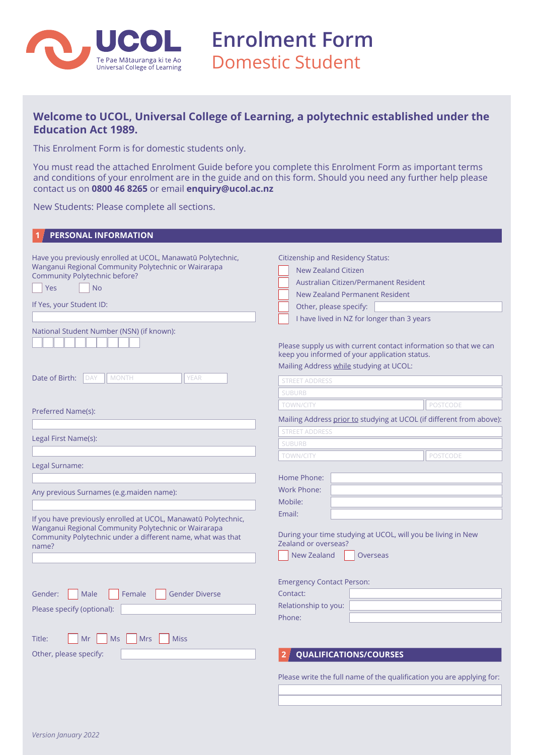

**Enrolment Form** Domestic Student

# **Welcome to UCOL, Universal College of Learning, a polytechnic established under the Education Act 1989.**

This Enrolment Form is for domestic students only.

You must read the attached Enrolment Guide before you complete this Enrolment Form as important terms and conditions of your enrolment are in the guide and on this form. Should you need any further help please contact us on **0800 46 8265** or email **enquiry@ucol.ac.nz**

New Students: Please complete all sections.

| <b>PERSONAL INFORMATION</b>                                                                                                                                                                                                                       |                                                                                                                                                                                                                                                                                                                                                                                           |  |  |
|---------------------------------------------------------------------------------------------------------------------------------------------------------------------------------------------------------------------------------------------------|-------------------------------------------------------------------------------------------------------------------------------------------------------------------------------------------------------------------------------------------------------------------------------------------------------------------------------------------------------------------------------------------|--|--|
| Have you previously enrolled at UCOL, Manawatū Polytechnic,<br>Wanganui Regional Community Polytechnic or Wairarapa<br>Community Polytechnic before?<br>Yes<br><b>No</b><br>If Yes, your Student ID:<br>National Student Number (NSN) (if known): | <b>Citizenship and Residency Status:</b><br>New Zealand Citizen<br>Australian Citizen/Permanent Resident<br><b>New Zealand Permanent Resident</b><br>Other, please specify:<br>I have lived in NZ for longer than 3 years<br>Please supply us with current contact information so that we can<br>keep you informed of your application status.<br>Mailing Address while studying at UCOL: |  |  |
| Date of Birth:<br><b>DAY</b><br>MONTH<br><b>YEAR</b>                                                                                                                                                                                              | <b>STREET ADDRESS</b>                                                                                                                                                                                                                                                                                                                                                                     |  |  |
|                                                                                                                                                                                                                                                   | <b>SUBURB</b>                                                                                                                                                                                                                                                                                                                                                                             |  |  |
| Preferred Name(s):                                                                                                                                                                                                                                | <b>TOWN/CITY</b><br><b>POSTCODE</b>                                                                                                                                                                                                                                                                                                                                                       |  |  |
|                                                                                                                                                                                                                                                   | Mailing Address prior to studying at UCOL (if different from above):                                                                                                                                                                                                                                                                                                                      |  |  |
|                                                                                                                                                                                                                                                   | <b>STREET ADDRESS</b>                                                                                                                                                                                                                                                                                                                                                                     |  |  |
| Legal First Name(s):                                                                                                                                                                                                                              | <b>SUBURB</b>                                                                                                                                                                                                                                                                                                                                                                             |  |  |
|                                                                                                                                                                                                                                                   | <b>POSTCODE</b><br><b>TOWN/CITY</b>                                                                                                                                                                                                                                                                                                                                                       |  |  |
| Legal Surname:                                                                                                                                                                                                                                    |                                                                                                                                                                                                                                                                                                                                                                                           |  |  |
|                                                                                                                                                                                                                                                   | Home Phone:                                                                                                                                                                                                                                                                                                                                                                               |  |  |
| Any previous Surnames (e.g.maiden name):                                                                                                                                                                                                          | Work Phone:                                                                                                                                                                                                                                                                                                                                                                               |  |  |
|                                                                                                                                                                                                                                                   | Mobile:                                                                                                                                                                                                                                                                                                                                                                                   |  |  |
| If you have previously enrolled at UCOL, Manawatū Polytechnic,<br>Wanganui Regional Community Polytechnic or Wairarapa<br>Community Polytechnic under a different name, what was that<br>name?                                                    | Email:<br>During your time studying at UCOL, will you be living in New<br>Zealand or overseas?<br><b>New Zealand</b><br>Overseas                                                                                                                                                                                                                                                          |  |  |
|                                                                                                                                                                                                                                                   | <b>Emergency Contact Person:</b>                                                                                                                                                                                                                                                                                                                                                          |  |  |
| <b>Gender Diverse</b><br>Male<br>Female<br>Gender:                                                                                                                                                                                                | Contact:                                                                                                                                                                                                                                                                                                                                                                                  |  |  |
| Please specify (optional):                                                                                                                                                                                                                        | Relationship to you:                                                                                                                                                                                                                                                                                                                                                                      |  |  |
|                                                                                                                                                                                                                                                   | Phone:                                                                                                                                                                                                                                                                                                                                                                                    |  |  |
| <b>Ms</b><br><b>Mrs</b><br>Title:<br>Mr<br><b>Miss</b>                                                                                                                                                                                            |                                                                                                                                                                                                                                                                                                                                                                                           |  |  |
| Other, please specify:                                                                                                                                                                                                                            | <b>QUALIFICATIONS/COURSES</b>                                                                                                                                                                                                                                                                                                                                                             |  |  |
|                                                                                                                                                                                                                                                   | Please write the full name of the qualification you are applying for:                                                                                                                                                                                                                                                                                                                     |  |  |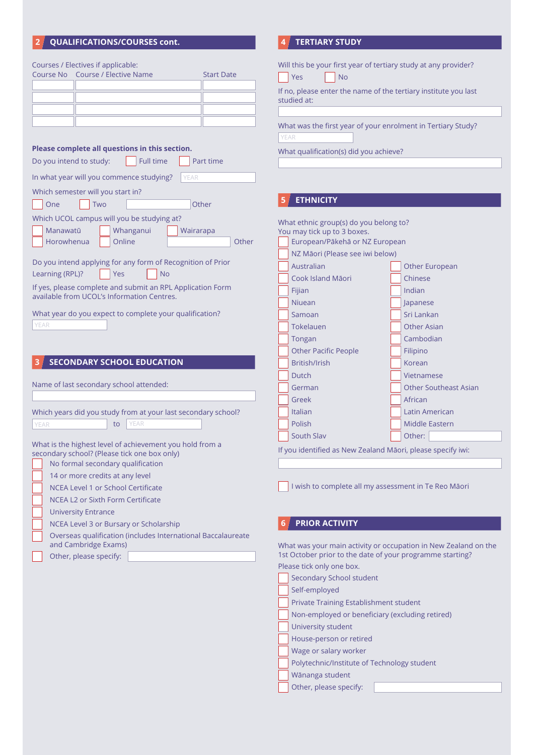# **2 QUALIFICATIONS/COURSES cont.**

| Courses / Electives if applicable:<br>Course No Course / Elective Name<br><b>Start Date</b>                                                                                      | Yes<br><b>No</b><br>studied at:                                                                                                            | Will this be your first year of tertiary study at any provider?<br>If no, please enter the name of the tertiary institute you last |  |  |
|----------------------------------------------------------------------------------------------------------------------------------------------------------------------------------|--------------------------------------------------------------------------------------------------------------------------------------------|------------------------------------------------------------------------------------------------------------------------------------|--|--|
|                                                                                                                                                                                  | YEAR                                                                                                                                       | What was the first year of your enrolment in Tertiary Study?                                                                       |  |  |
| Please complete all questions in this section.<br>Do you intend to study:<br><b>Full time</b><br>Part time                                                                       | What qualification(s) did you achieve?                                                                                                     |                                                                                                                                    |  |  |
| In what year will you commence studying?<br>YEAR                                                                                                                                 |                                                                                                                                            |                                                                                                                                    |  |  |
| Which semester will you start in?                                                                                                                                                |                                                                                                                                            |                                                                                                                                    |  |  |
| Other<br>One<br>Two                                                                                                                                                              | <b>ETHNICITY</b>                                                                                                                           |                                                                                                                                    |  |  |
| Which UCOL campus will you be studying at?<br>Manawatū<br>Whanganui<br>Wairarapa<br>Online<br>Other<br>Horowhenua<br>Do you intend applying for any form of Recognition of Prior | What ethnic group(s) do you belong to?<br>You may tick up to 3 boxes.<br>European/Pākehā or NZ European<br>NZ Māori (Please see iwi below) |                                                                                                                                    |  |  |
| Learning (RPL)?<br>Yes<br><b>No</b>                                                                                                                                              | Australian                                                                                                                                 | Other European                                                                                                                     |  |  |
| If yes, please complete and submit an RPL Application Form                                                                                                                       | Cook Island Māori                                                                                                                          | Chinese                                                                                                                            |  |  |
| available from UCOL's Information Centres.                                                                                                                                       | Fijian                                                                                                                                     | Indian                                                                                                                             |  |  |
| What year do you expect to complete your qualification?                                                                                                                          | <b>Niuean</b>                                                                                                                              | Japanese                                                                                                                           |  |  |
| YEAR                                                                                                                                                                             | Samoan                                                                                                                                     | Sri Lankan                                                                                                                         |  |  |
|                                                                                                                                                                                  | Tokelauen                                                                                                                                  | <b>Other Asian</b><br>Cambodian                                                                                                    |  |  |
|                                                                                                                                                                                  | Tongan<br><b>Other Pacific People</b>                                                                                                      | Filipino                                                                                                                           |  |  |
| <b>SECONDARY SCHOOL EDUCATION</b>                                                                                                                                                | British/Irish                                                                                                                              | Korean                                                                                                                             |  |  |
|                                                                                                                                                                                  | Dutch                                                                                                                                      | Vietnamese                                                                                                                         |  |  |
| Name of last secondary school attended:                                                                                                                                          | German                                                                                                                                     | <b>Other Southeast Asian</b>                                                                                                       |  |  |
|                                                                                                                                                                                  | Greek                                                                                                                                      | African                                                                                                                            |  |  |
| Which years did you study from at your last secondary school?                                                                                                                    | Italian                                                                                                                                    | Latin American                                                                                                                     |  |  |
| YEAR<br>YEAR<br>to                                                                                                                                                               | Polish                                                                                                                                     | Middle Eastern                                                                                                                     |  |  |
|                                                                                                                                                                                  | South Slav                                                                                                                                 | Other:                                                                                                                             |  |  |
| What is the highest level of achievement you hold from a<br>secondary school? (Please tick one box only)<br>No formal secondary qualification                                    | If you identified as New Zealand Māori, please specify iwi:                                                                                |                                                                                                                                    |  |  |
| 14 or more credits at any level                                                                                                                                                  |                                                                                                                                            |                                                                                                                                    |  |  |
| <b>NCEA Level 1 or School Certificate</b>                                                                                                                                        |                                                                                                                                            | I wish to complete all my assessment in Te Reo Māori                                                                               |  |  |
| NCEA L2 or Sixth Form Certificate                                                                                                                                                |                                                                                                                                            |                                                                                                                                    |  |  |
| <b>University Entrance</b>                                                                                                                                                       |                                                                                                                                            |                                                                                                                                    |  |  |
| NCEA Level 3 or Bursary or Scholarship                                                                                                                                           | <b>PRIOR ACTIVITY</b>                                                                                                                      |                                                                                                                                    |  |  |
| Overseas qualification (includes International Baccalaureate                                                                                                                     |                                                                                                                                            |                                                                                                                                    |  |  |
| and Cambridge Exams)<br>Other, please specify:                                                                                                                                   | What was your main activity or occupation in New Zealand on the<br>1st October prior to the date of your programme starting?               |                                                                                                                                    |  |  |
|                                                                                                                                                                                  | Please tick only one box.                                                                                                                  |                                                                                                                                    |  |  |
|                                                                                                                                                                                  | Secondary School student                                                                                                                   |                                                                                                                                    |  |  |

Secondary School student University student Private Training Establishment student Wage or salary worker Self-employed House-person or retired Non-employed or beneficiary (excluding retired)

Polytechnic/Institute of Technology student

Wānanga student

**4 TERTIARY STUDY**

Other, please specify: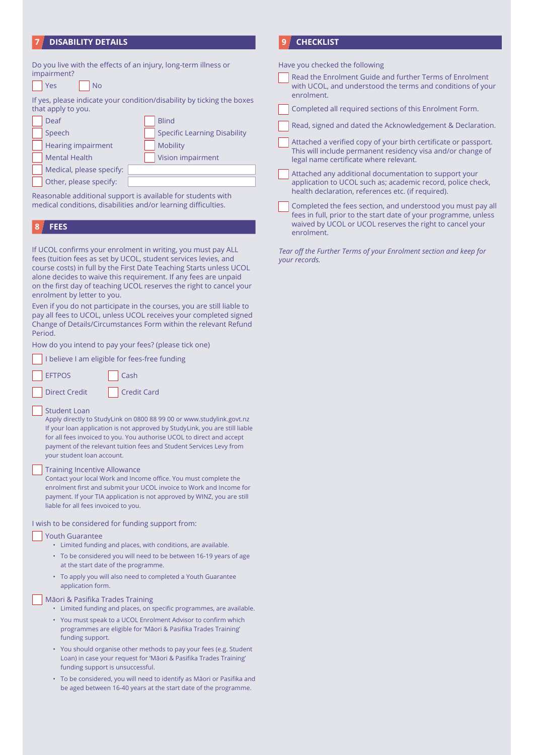# **7 DISABILITY DETAILS**

| impairment?<br>Yes<br><b>No</b>                       | Do you live with the effects of an injury, long-term illness or                                                                                                                                                                                                                                                                                  |
|-------------------------------------------------------|--------------------------------------------------------------------------------------------------------------------------------------------------------------------------------------------------------------------------------------------------------------------------------------------------------------------------------------------------|
| that apply to you.                                    | If yes, please indicate your condition/disability by ticking the boxes                                                                                                                                                                                                                                                                           |
| Deaf                                                  | <b>Blind</b>                                                                                                                                                                                                                                                                                                                                     |
| Speech                                                | <b>Specific Learning Disability</b>                                                                                                                                                                                                                                                                                                              |
| <b>Hearing impairment</b>                             | <b>Mobility</b>                                                                                                                                                                                                                                                                                                                                  |
| <b>Mental Health</b>                                  | Vision impairment                                                                                                                                                                                                                                                                                                                                |
| Medical, please specify:                              |                                                                                                                                                                                                                                                                                                                                                  |
| Other, please specify:                                |                                                                                                                                                                                                                                                                                                                                                  |
| <b>FEES</b><br>8                                      |                                                                                                                                                                                                                                                                                                                                                  |
| enrolment by letter to you.                           | If UCOL confirms your enrolment in writing, you must pay ALL<br>fees (tuition fees as set by UCOL, student services levies, and<br>course costs) in full by the First Date Teaching Starts unless UCOL<br>alone decides to waive this requirement. If any fees are unpaid<br>on the first day of teaching UCOL reserves the right to cancel your |
|                                                       |                                                                                                                                                                                                                                                                                                                                                  |
| Period.                                               | Even if you do not participate in the courses, you are still liable to<br>pay all fees to UCOL, unless UCOL receives your completed signed<br>Change of Details/Circumstances Form within the relevant Refund                                                                                                                                    |
| How do you intend to pay your fees? (please tick one) |                                                                                                                                                                                                                                                                                                                                                  |
| I believe I am eligible for fees-free funding         |                                                                                                                                                                                                                                                                                                                                                  |
| <b>EFTPOS</b>                                         | Cash                                                                                                                                                                                                                                                                                                                                             |

#### Student Loan

Apply directly to StudyLink on 0800 88 99 00 or www.studylink.govt.nz If your loan application is not approved by StudyLink, you are still liable for all fees invoiced to you. You authorise UCOL to direct and accept payment of the relevant tuition fees and Student Services Levy from your student loan account.

#### Training Incentive Allowance

Contact your local Work and Income office. You must complete the enrolment first and submit your UCOL invoice to Work and Income for payment. If your TIA application is not approved by WINZ, you are still liable for all fees invoiced to you.

## I wish to be considered for funding support from:

## Youth Guarantee

- Limited funding and places, with conditions, are available.
- To be considered you will need to be between 16-19 years of age at the start date of the programme.
- To apply you will also need to completed a Youth Guarantee application form.

#### Māori & Pasifika Trades Training

- Limited funding and places, on specific programmes, are available.
- You must speak to a UCOL Enrolment Advisor to confirm which programmes are eligible for 'Māori & Pasifika Trades Training' funding support.
- You should organise other methods to pay your fees (e.g. Student Loan) in case your request for 'Māori & Pasifika Trades Training' funding support is unsuccessful.
- To be considered, you will need to identify as Māori or Pasifika and be aged between 16-40 years at the start date of the programme.

# **9 CHECKLIST**

Have you checked the following

Read the Enrolment Guide and further Terms of Enrolment with UCOL, and understood the terms and conditions of your enrolment.

Completed all required sections of this Enrolment Form.

- Read, signed and dated the Acknowledgement & Declaration.
- Attached a verified copy of your birth certificate or passport. This will include permanent residency visa and/or change of legal name certificate where relevant.

Attached any additional documentation to support your application to UCOL such as; academic record, police check, health declaration, references etc. (if required).

Completed the fees section, and understood you must pay all fees in full, prior to the start date of your programme, unless waived by UCOL or UCOL reserves the right to cancel your enrolment.

*Tear off the Further Terms of your Enrolment section and keep for your records.*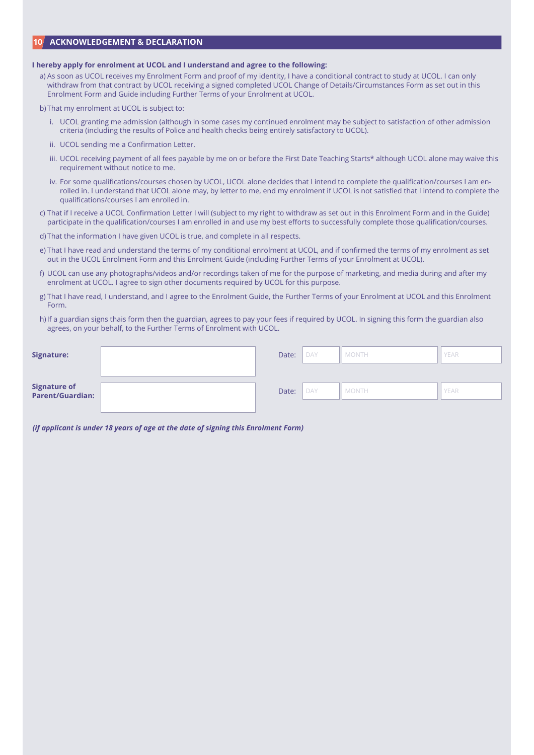# **10 ACKNOWLEDGEMENT & DECLARATION**

#### **I hereby apply for enrolment at UCOL and I understand and agree to the following:**

- a) As soon as UCOL receives my Enrolment Form and proof of my identity, I have a conditional contract to study at UCOL. I can only withdraw from that contract by UCOL receiving a signed completed UCOL Change of Details/Circumstances Form as set out in this Enrolment Form and Guide including Further Terms of your Enrolment at UCOL.
- b) That my enrolment at UCOL is subject to:
	- i. UCOL granting me admission (although in some cases my continued enrolment may be subject to satisfaction of other admission criteria (including the results of Police and health checks being entirely satisfactory to UCOL).
	- ii. UCOL sending me a Confirmation Letter.
	- iii. UCOL receiving payment of all fees payable by me on or before the First Date Teaching Starts\* although UCOL alone may waive this requirement without notice to me.
	- iv. For some qualifications/courses chosen by UCOL, UCOL alone decides that I intend to complete the qualification/courses I am enrolled in. I understand that UCOL alone may, by letter to me, end my enrolment if UCOL is not satisfied that I intend to complete the qualifications/courses I am enrolled in.
- c) That if I receive a UCOL Confirmation Letter I will (subject to my right to withdraw as set out in this Enrolment Form and in the Guide) participate in the qualification/courses I am enrolled in and use my best efforts to successfully complete those qualification/courses.
- d) That the information I have given UCOL is true, and complete in all respects.
- e) That I have read and understand the terms of my conditional enrolment at UCOL, and if confirmed the terms of my enrolment as set out in the UCOL Enrolment Form and this Enrolment Guide (including Further Terms of your Enrolment at UCOL).
- f) UCOL can use any photographs/videos and/or recordings taken of me for the purpose of marketing, and media during and after my enrolment at UCOL. I agree to sign other documents required by UCOL for this purpose.
- g) That I have read, I understand, and I agree to the Enrolment Guide, the Further Terms of your Enrolment at UCOL and this Enrolment Form.
- h) If a guardian signs thais form then the guardian, agrees to pay your fees if required by UCOL. In signing this form the guardian also agrees, on your behalf, to the Further Terms of Enrolment with UCOL.

| Signature:                       |       | Date: | . DAY | <b>MONTH</b>  | YEAR |
|----------------------------------|-------|-------|-------|---------------|------|
|                                  |       |       |       |               |      |
| Signature of<br>Parent/Guardian: | Date: | DAY   | MONTH | <b>I</b> YEAR |      |

*(if applicant is under 18 years of age at the date of signing this Enrolment Form)*